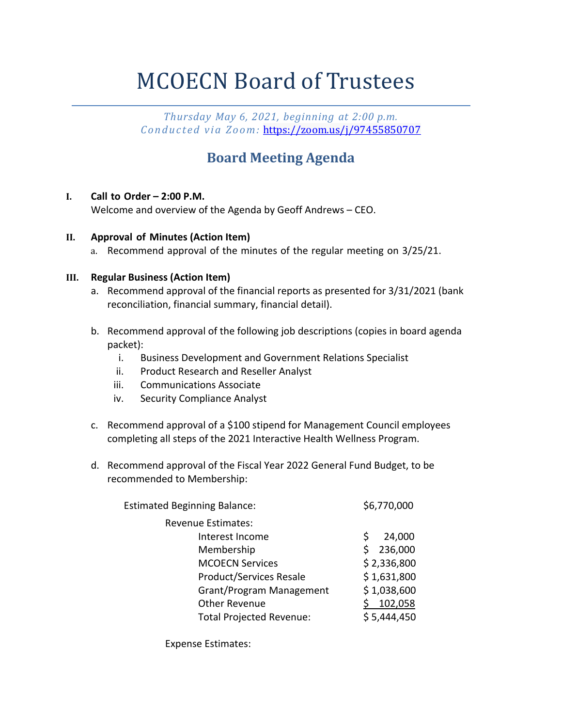# MCOECN Board of Trustees

*Thursday May 6, 2021, beginning at 2:00 p.m. Conducted via Zoom:* https://zoom.us/j/97455850707

## **Board Meeting Agenda**

#### **I. Call to Order – 2:00 P.M.**

Welcome and overview of the Agenda by Geoff Andrews – CEO.

#### **II. Approval of Minutes (Action Item)**

a. Recommend approval of the minutes of the regular meeting on 3/25/21.

#### **III. Regular Business (Action Item)**

- a. Recommend approval of the financial reports as presented for 3/31/2021 (bank reconciliation, financial summary, financial detail).
- b. Recommend approval of the following job descriptions (copies in board agenda packet):
	- i. Business Development and Government Relations Specialist
	- ii. Product Research and Reseller Analyst
	- iii. Communications Associate
	- iv. Security Compliance Analyst
- c. Recommend approval of a \$100 stipend for Management Council employees completing all steps of the 2021 Interactive Health Wellness Program.
- d. Recommend approval of the Fiscal Year 2022 General Fund Budget, to be recommended to Membership:

| <b>Estimated Beginning Balance:</b> | \$6,770,000 |
|-------------------------------------|-------------|
| <b>Revenue Estimates:</b>           |             |
| Interest Income                     | 24,000<br>S |
| Membership                          | 236,000     |
| <b>MCOECN Services</b>              | \$2,336,800 |
| Product/Services Resale             | \$1,631,800 |
| <b>Grant/Program Management</b>     | \$1,038,600 |
| <b>Other Revenue</b>                | 102,058     |
| <b>Total Projected Revenue:</b>     | \$5,444,450 |

Expense Estimates: